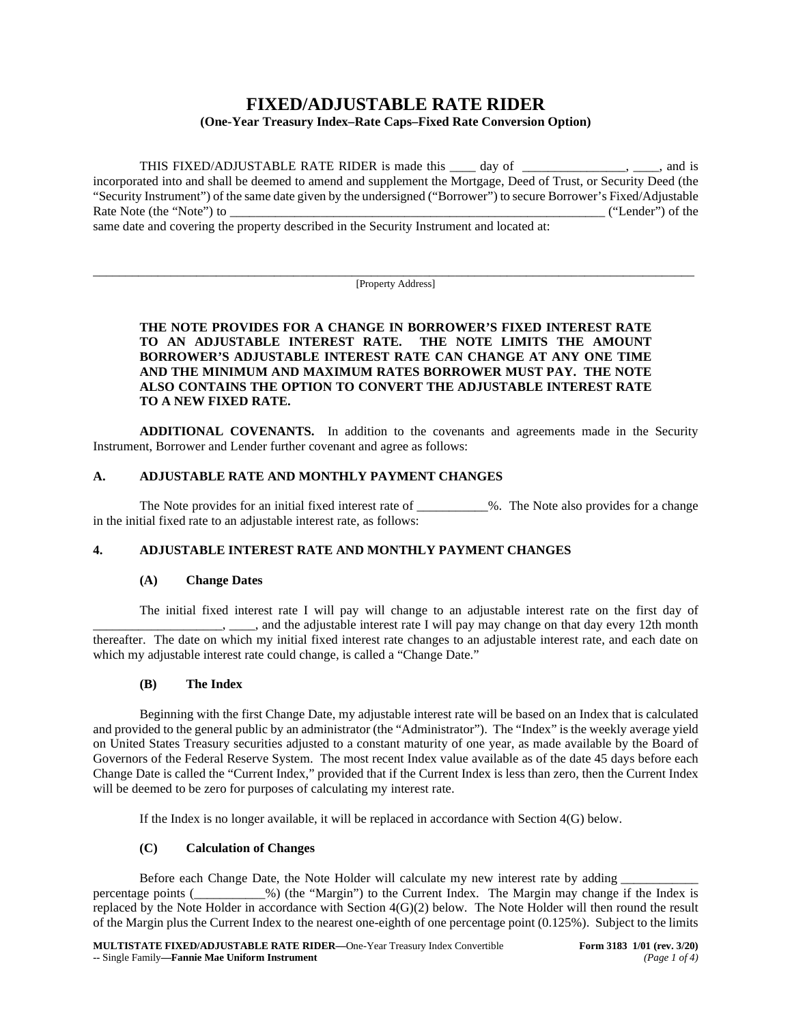# **FIXED/ADJUSTABLE RATE RIDER (One-Year Treasury Index–Rate Caps–Fixed Rate Conversion Option)**

THIS FIXED/ADJUSTABLE RATE RIDER is made this \_\_\_\_\_ day of \_\_\_\_\_\_\_\_\_\_\_\_\_\_\_\_, \_\_\_\_, and is incorporated into and shall be deemed to amend and supplement the Mortgage, Deed of Trust, or Security Deed (the "Security Instrument") of the same date given by the undersigned ("Borrower") to secure Borrower's Fixed/Adjustable Rate Note (the "Note") to  $($ "Lender") of the  $\blacksquare$ same date and covering the property described in the Security Instrument and located at:

\_\_\_\_\_\_\_\_\_\_\_\_\_\_\_\_\_\_\_\_\_\_\_\_\_\_\_\_\_\_\_\_\_\_\_\_\_\_\_\_\_\_\_\_\_\_\_\_\_\_\_\_\_\_\_\_\_\_\_\_\_\_\_\_\_\_\_\_\_\_\_\_\_\_\_\_\_\_\_\_\_\_\_\_\_\_\_\_\_\_\_\_\_ [Property Address]

## **THE NOTE PROVIDES FOR A CHANGE IN BORROWER'S FIXED INTEREST RATE TO AN ADJUSTABLE INTEREST RATE. THE NOTE LIMITS THE AMOUNT BORROWER'S ADJUSTABLE INTEREST RATE CAN CHANGE AT ANY ONE TIME AND THE MINIMUM AND MAXIMUM RATES BORROWER MUST PAY. THE NOTE ALSO CONTAINS THE OPTION TO CONVERT THE ADJUSTABLE INTEREST RATE TO A NEW FIXED RATE.**

**ADDITIONAL COVENANTS.** In addition to the covenants and agreements made in the Security Instrument, Borrower and Lender further covenant and agree as follows:

## **A. ADJUSTABLE RATE AND MONTHLY PAYMENT CHANGES**

The Note provides for an initial fixed interest rate of \_\_\_\_\_\_\_\_\_\_\_%. The Note also provides for a change in the initial fixed rate to an adjustable interest rate, as follows:

## **4. ADJUSTABLE INTEREST RATE AND MONTHLY PAYMENT CHANGES**

## **(A) Change Dates**

The initial fixed interest rate I will pay will change to an adjustable interest rate on the first day of . and the adjustable interest rate I will pay may change on that day every 12th month thereafter. The date on which my initial fixed interest rate changes to an adjustable interest rate, and each date on which my adjustable interest rate could change, is called a "Change Date."

## **(B) The Index**

Beginning with the first Change Date, my adjustable interest rate will be based on an Index that is calculated and provided to the general public by an administrator (the "Administrator"). The "Index" is the weekly average yield on United States Treasury securities adjusted to a constant maturity of one year, as made available by the Board of Governors of the Federal Reserve System. The most recent Index value available as of the date 45 days before each Change Date is called the "Current Index," provided that if the Current Index is less than zero, then the Current Index will be deemed to be zero for purposes of calculating my interest rate.

If the Index is no longer available, it will be replaced in accordance with Section 4(G) below.

## **(C) Calculation of Changes**

Before each Change Date, the Note Holder will calculate my new interest rate by adding percentage points (\_\_\_\_\_\_\_\_\_\_\_%) (the "Margin") to the Current Index. The Margin may change if the Index is replaced by the Note Holder in accordance with Section 4(G)(2) below. The Note Holder will then round the result of the Margin plus the Current Index to the nearest one-eighth of one percentage point (0.125%). Subject to the limits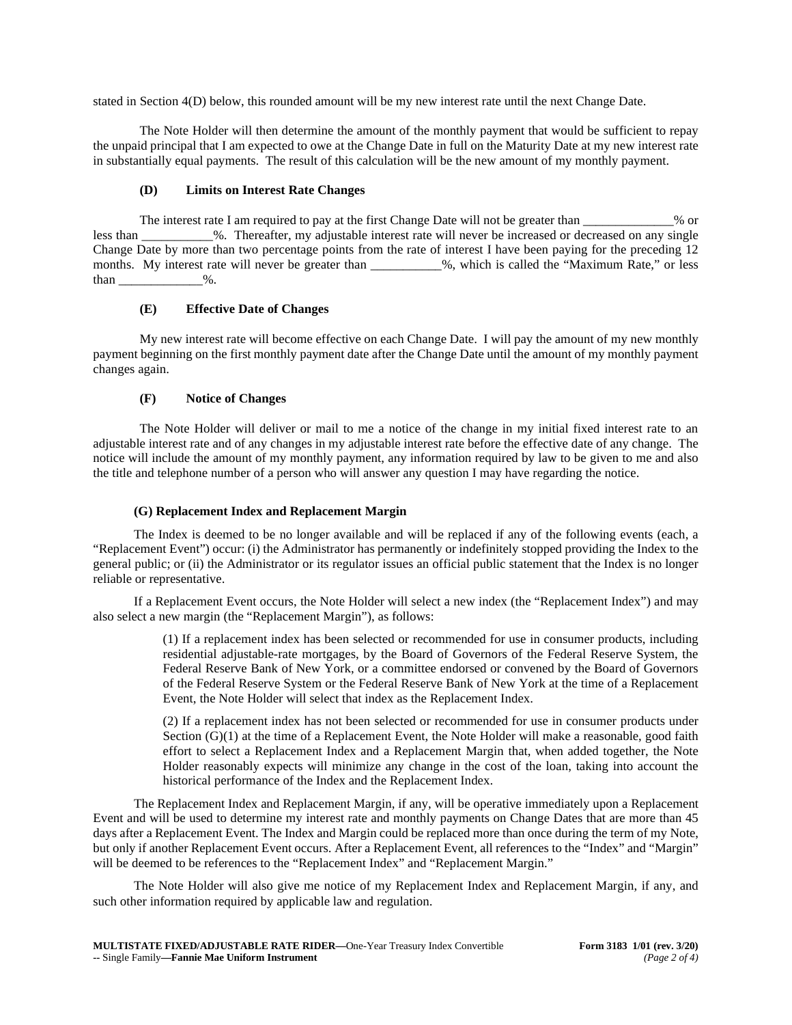stated in Section 4(D) below, this rounded amount will be my new interest rate until the next Change Date.

The Note Holder will then determine the amount of the monthly payment that would be sufficient to repay the unpaid principal that I am expected to owe at the Change Date in full on the Maturity Date at my new interest rate in substantially equal payments. The result of this calculation will be the new amount of my monthly payment.

#### **(D) Limits on Interest Rate Changes**

The interest rate I am required to pay at the first Change Date will not be greater than \_\_\_\_\_\_\_\_\_\_\_\_\_\_% or less than \_\_\_\_\_\_\_\_\_\_\_%. Thereafter, my adjustable interest rate will never be increased or decreased on any single Change Date by more than two percentage points from the rate of interest I have been paying for the preceding 12 months. My interest rate will never be greater than  $\%$ , which is called the "Maximum Rate," or less than \_\_\_\_\_\_\_\_\_\_\_\_\_\_\_ %.

### **(E) Effective Date of Changes**

My new interest rate will become effective on each Change Date. I will pay the amount of my new monthly payment beginning on the first monthly payment date after the Change Date until the amount of my monthly payment changes again.

#### **(F) Notice of Changes**

The Note Holder will deliver or mail to me a notice of the change in my initial fixed interest rate to an adjustable interest rate and of any changes in my adjustable interest rate before the effective date of any change. The notice will include the amount of my monthly payment, any information required by law to be given to me and also the title and telephone number of a person who will answer any question I may have regarding the notice.

#### **(G) Replacement Index and Replacement Margin**

The Index is deemed to be no longer available and will be replaced if any of the following events (each, a "Replacement Event") occur: (i) the Administrator has permanently or indefinitely stopped providing the Index to the general public; or (ii) the Administrator or its regulator issues an official public statement that the Index is no longer reliable or representative.

If a Replacement Event occurs, the Note Holder will select a new index (the "Replacement Index") and may also select a new margin (the "Replacement Margin"), as follows:

> (1) If a replacement index has been selected or recommended for use in consumer products, including residential adjustable-rate mortgages, by the Board of Governors of the Federal Reserve System, the Federal Reserve Bank of New York, or a committee endorsed or convened by the Board of Governors of the Federal Reserve System or the Federal Reserve Bank of New York at the time of a Replacement Event, the Note Holder will select that index as the Replacement Index.

> (2) If a replacement index has not been selected or recommended for use in consumer products under Section (G)(1) at the time of a Replacement Event, the Note Holder will make a reasonable, good faith effort to select a Replacement Index and a Replacement Margin that, when added together, the Note Holder reasonably expects will minimize any change in the cost of the loan, taking into account the historical performance of the Index and the Replacement Index.

The Replacement Index and Replacement Margin, if any, will be operative immediately upon a Replacement Event and will be used to determine my interest rate and monthly payments on Change Dates that are more than 45 days after a Replacement Event. The Index and Margin could be replaced more than once during the term of my Note, but only if another Replacement Event occurs. After a Replacement Event, all references to the "Index" and "Margin" will be deemed to be references to the "Replacement Index" and "Replacement Margin."

The Note Holder will also give me notice of my Replacement Index and Replacement Margin, if any, and such other information required by applicable law and regulation.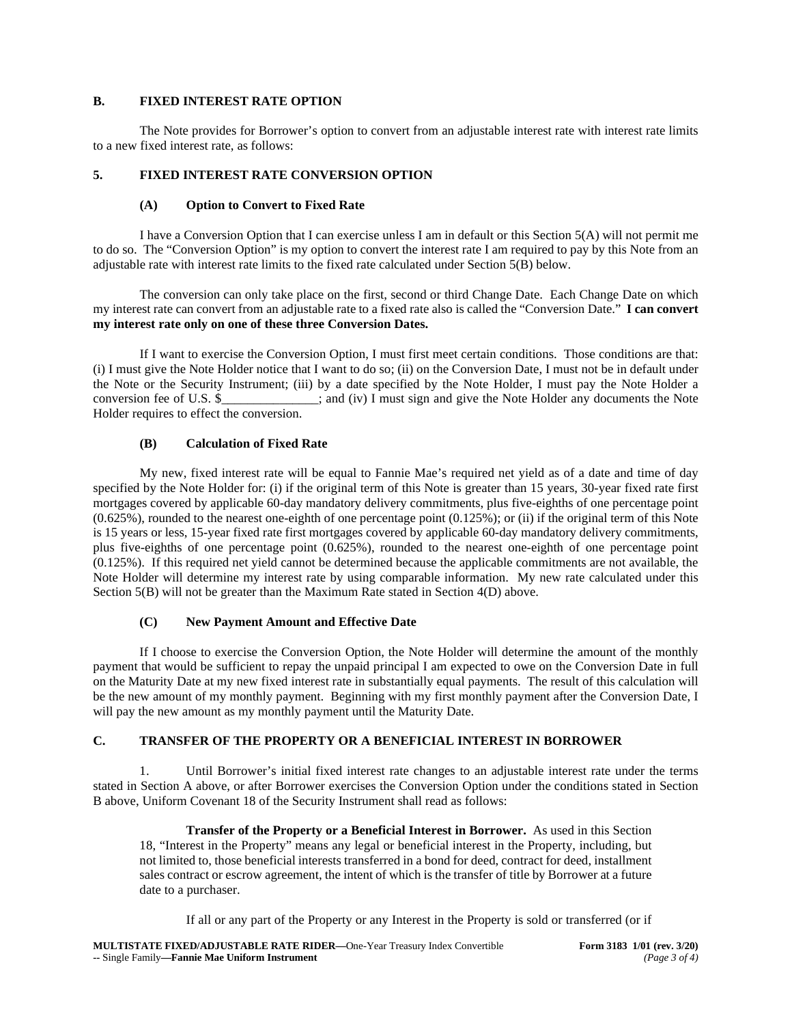### **B. FIXED INTEREST RATE OPTION**

The Note provides for Borrower's option to convert from an adjustable interest rate with interest rate limits to a new fixed interest rate, as follows:

### **5. FIXED INTEREST RATE CONVERSION OPTION**

#### **(A) Option to Convert to Fixed Rate**

I have a Conversion Option that I can exercise unless I am in default or this Section 5(A) will not permit me to do so. The "Conversion Option" is my option to convert the interest rate I am required to pay by this Note from an adjustable rate with interest rate limits to the fixed rate calculated under Section 5(B) below.

The conversion can only take place on the first, second or third Change Date. Each Change Date on which my interest rate can convert from an adjustable rate to a fixed rate also is called the "Conversion Date." **I can convert my interest rate only on one of these three Conversion Dates.**

If I want to exercise the Conversion Option, I must first meet certain conditions. Those conditions are that: (i) I must give the Note Holder notice that I want to do so; (ii) on the Conversion Date, I must not be in default under the Note or the Security Instrument; (iii) by a date specified by the Note Holder, I must pay the Note Holder a conversion fee of U.S. \$\_\_\_\_\_\_\_\_\_\_\_\_\_\_\_; and (iv) I must sign and give the Note Holder any documents the Note Holder requires to effect the conversion.

### **(B) Calculation of Fixed Rate**

My new, fixed interest rate will be equal to Fannie Mae's required net yield as of a date and time of day specified by the Note Holder for: (i) if the original term of this Note is greater than 15 years, 30-year fixed rate first mortgages covered by applicable 60-day mandatory delivery commitments, plus five-eighths of one percentage point (0.625%), rounded to the nearest one-eighth of one percentage point (0.125%); or (ii) if the original term of this Note is 15 years or less, 15-year fixed rate first mortgages covered by applicable 60-day mandatory delivery commitments, plus five-eighths of one percentage point (0.625%), rounded to the nearest one-eighth of one percentage point (0.125%). If this required net yield cannot be determined because the applicable commitments are not available, the Note Holder will determine my interest rate by using comparable information. My new rate calculated under this Section 5(B) will not be greater than the Maximum Rate stated in Section 4(D) above.

## **(C) New Payment Amount and Effective Date**

If I choose to exercise the Conversion Option, the Note Holder will determine the amount of the monthly payment that would be sufficient to repay the unpaid principal I am expected to owe on the Conversion Date in full on the Maturity Date at my new fixed interest rate in substantially equal payments. The result of this calculation will be the new amount of my monthly payment. Beginning with my first monthly payment after the Conversion Date, I will pay the new amount as my monthly payment until the Maturity Date.

## **C. TRANSFER OF THE PROPERTY OR A BENEFICIAL INTEREST IN BORROWER**

1. Until Borrower's initial fixed interest rate changes to an adjustable interest rate under the terms stated in Section A above, or after Borrower exercises the Conversion Option under the conditions stated in Section B above, Uniform Covenant 18 of the Security Instrument shall read as follows:

**Transfer of the Property or a Beneficial Interest in Borrower.** As used in this Section 18, "Interest in the Property" means any legal or beneficial interest in the Property, including, but not limited to, those beneficial interests transferred in a bond for deed, contract for deed, installment sales contract or escrow agreement, the intent of which is the transfer of title by Borrower at a future date to a purchaser.

If all or any part of the Property or any Interest in the Property is sold or transferred (or if